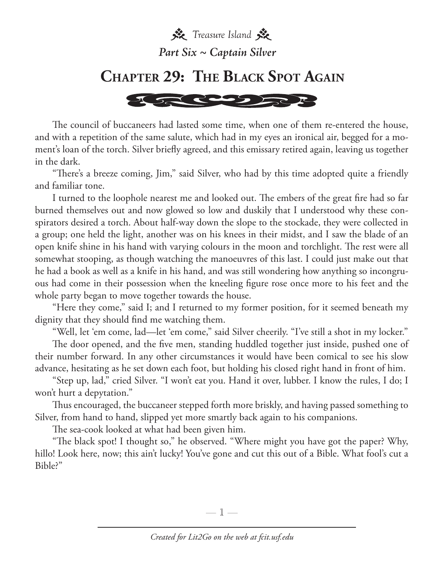**茶** Treasure Island *Part Six ~ Captain Silver*

## **Chapter 29: The Black Spot Again**



The council of buccaneers had lasted some time, when one of them re-entered the house, and with a repetition of the same salute, which had in my eyes an ironical air, begged for a moment's loan of the torch. Silver briefly agreed, and this emissary retired again, leaving us together in the dark.

"There's a breeze coming, Jim," said Silver, who had by this time adopted quite a friendly and familiar tone.

I turned to the loophole nearest me and looked out. The embers of the great fire had so far burned themselves out and now glowed so low and duskily that I understood why these conspirators desired a torch. About half-way down the slope to the stockade, they were collected in a group; one held the light, another was on his knees in their midst, and I saw the blade of an open knife shine in his hand with varying colours in the moon and torchlight. The rest were all somewhat stooping, as though watching the manoeuvres of this last. I could just make out that he had a book as well as a knife in his hand, and was still wondering how anything so incongruous had come in their possession when the kneeling figure rose once more to his feet and the whole party began to move together towards the house.

"Here they come," said I; and I returned to my former position, for it seemed beneath my dignity that they should find me watching them.

"Well, let 'em come, lad—let 'em come," said Silver cheerily. "I've still a shot in my locker."

The door opened, and the five men, standing huddled together just inside, pushed one of their number forward. In any other circumstances it would have been comical to see his slow advance, hesitating as he set down each foot, but holding his closed right hand in front of him.

"Step up, lad," cried Silver. "I won't eat you. Hand it over, lubber. I know the rules, I do; I won't hurt a depytation."

Thus encouraged, the buccaneer stepped forth more briskly, and having passed something to Silver, from hand to hand, slipped yet more smartly back again to his companions.

The sea-cook looked at what had been given him.

"The black spot! I thought so," he observed. "Where might you have got the paper? Why, hillo! Look here, now; this ain't lucky! You've gone and cut this out of a Bible. What fool's cut a Bible?"

—  $\mathbb{1}$  —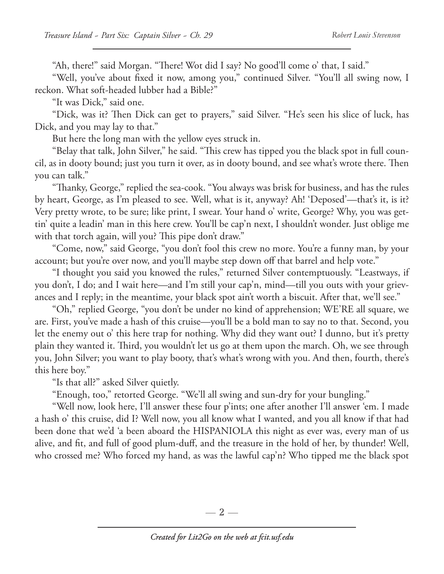"Ah, there!" said Morgan. "There! Wot did I say? No good'll come o' that, I said."

"Well, you've about fixed it now, among you," continued Silver. "You'll all swing now, I reckon. What soft-headed lubber had a Bible?"

"It was Dick," said one.

"Dick, was it? Then Dick can get to prayers," said Silver. "He's seen his slice of luck, has Dick, and you may lay to that."

But here the long man with the yellow eyes struck in.

"Belay that talk, John Silver," he said. "This crew has tipped you the black spot in full council, as in dooty bound; just you turn it over, as in dooty bound, and see what's wrote there. Then you can talk."

"Thanky, George," replied the sea-cook. "You always was brisk for business, and has the rules by heart, George, as I'm pleased to see. Well, what is it, anyway? Ah! 'Deposed'—that's it, is it? Very pretty wrote, to be sure; like print, I swear. Your hand o' write, George? Why, you was gettin' quite a leadin' man in this here crew. You'll be cap'n next, I shouldn't wonder. Just oblige me with that torch again, will you? This pipe don't draw."

"Come, now," said George, "you don't fool this crew no more. You're a funny man, by your account; but you're over now, and you'll maybe step down off that barrel and help vote."

"I thought you said you knowed the rules," returned Silver contemptuously. "Leastways, if you don't, I do; and I wait here—and I'm still your cap'n, mind—till you outs with your grievances and I reply; in the meantime, your black spot ain't worth a biscuit. After that, we'll see."

"Oh," replied George, "you don't be under no kind of apprehension; WE'RE all square, we are. First, you've made a hash of this cruise—you'll be a bold man to say no to that. Second, you let the enemy out o' this here trap for nothing. Why did they want out? I dunno, but it's pretty plain they wanted it. Third, you wouldn't let us go at them upon the march. Oh, we see through you, John Silver; you want to play booty, that's what's wrong with you. And then, fourth, there's this here boy."

"Is that all?" asked Silver quietly.

"Enough, too," retorted George. "We'll all swing and sun-dry for your bungling."

"Well now, look here, I'll answer these four p'ints; one after another I'll answer 'em. I made a hash o' this cruise, did I? Well now, you all know what I wanted, and you all know if that had been done that we'd 'a been aboard the HISPANIOLA this night as ever was, every man of us alive, and fit, and full of good plum-duff, and the treasure in the hold of her, by thunder! Well, who crossed me? Who forced my hand, as was the lawful cap'n? Who tipped me the black spot

— 2 —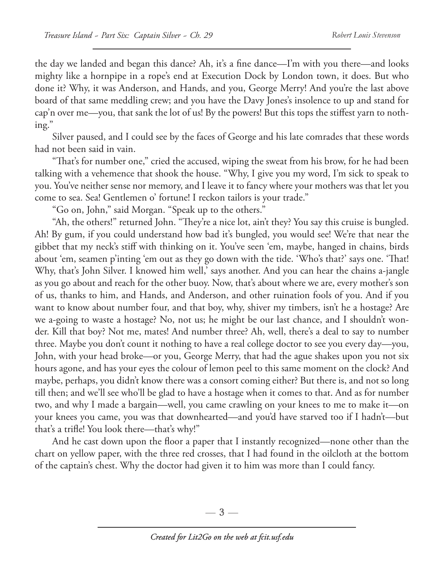the day we landed and began this dance? Ah, it's a fine dance—I'm with you there—and looks mighty like a hornpipe in a rope's end at Execution Dock by London town, it does. But who done it? Why, it was Anderson, and Hands, and you, George Merry! And you're the last above board of that same meddling crew; and you have the Davy Jones's insolence to up and stand for cap'n over me—you, that sank the lot of us! By the powers! But this tops the stiffest yarn to nothing."

Silver paused, and I could see by the faces of George and his late comrades that these words had not been said in vain.

"That's for number one," cried the accused, wiping the sweat from his brow, for he had been talking with a vehemence that shook the house. "Why, I give you my word, I'm sick to speak to you. You've neither sense nor memory, and I leave it to fancy where your mothers was that let you come to sea. Sea! Gentlemen o' fortune! I reckon tailors is your trade."

"Go on, John," said Morgan. "Speak up to the others."

"Ah, the others!" returned John. "They're a nice lot, ain't they? You say this cruise is bungled. Ah! By gum, if you could understand how bad it's bungled, you would see! We're that near the gibbet that my neck's stiff with thinking on it. You've seen 'em, maybe, hanged in chains, birds about 'em, seamen p'inting 'em out as they go down with the tide. 'Who's that?' says one. 'That! Why, that's John Silver. I knowed him well,' says another. And you can hear the chains a-jangle as you go about and reach for the other buoy. Now, that's about where we are, every mother's son of us, thanks to him, and Hands, and Anderson, and other ruination fools of you. And if you want to know about number four, and that boy, why, shiver my timbers, isn't he a hostage? Are we a-going to waste a hostage? No, not us; he might be our last chance, and I shouldn't wonder. Kill that boy? Not me, mates! And number three? Ah, well, there's a deal to say to number three. Maybe you don't count it nothing to have a real college doctor to see you every day—you, John, with your head broke—or you, George Merry, that had the ague shakes upon you not six hours agone, and has your eyes the colour of lemon peel to this same moment on the clock? And maybe, perhaps, you didn't know there was a consort coming either? But there is, and not so long till then; and we'll see who'll be glad to have a hostage when it comes to that. And as for number two, and why I made a bargain—well, you came crawling on your knees to me to make it—on your knees you came, you was that downhearted—and you'd have starved too if I hadn't—but that's a trifle! You look there—that's why!"

And he cast down upon the floor a paper that I instantly recognized—none other than the chart on yellow paper, with the three red crosses, that I had found in the oilcloth at the bottom of the captain's chest. Why the doctor had given it to him was more than I could fancy.

—  $3-$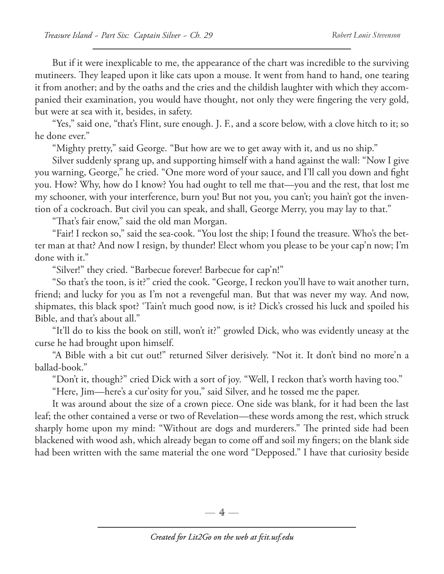But if it were inexplicable to me, the appearance of the chart was incredible to the surviving mutineers. They leaped upon it like cats upon a mouse. It went from hand to hand, one tearing it from another; and by the oaths and the cries and the childish laughter with which they accompanied their examination, you would have thought, not only they were fingering the very gold, but were at sea with it, besides, in safety.

"Yes," said one, "that's Flint, sure enough. J. F., and a score below, with a clove hitch to it; so he done ever."

"Mighty pretty," said George. "But how are we to get away with it, and us no ship."

Silver suddenly sprang up, and supporting himself with a hand against the wall: "Now I give you warning, George," he cried. "One more word of your sauce, and I'll call you down and fight you. How? Why, how do I know? You had ought to tell me that—you and the rest, that lost me my schooner, with your interference, burn you! But not you, you can't; you hain't got the invention of a cockroach. But civil you can speak, and shall, George Merry, you may lay to that."

"That's fair enow," said the old man Morgan.

"Fair! I reckon so," said the sea-cook. "You lost the ship; I found the treasure. Who's the better man at that? And now I resign, by thunder! Elect whom you please to be your cap'n now; I'm done with it."

"Silver!" they cried. "Barbecue forever! Barbecue for cap'n!"

"So that's the toon, is it?" cried the cook. "George, I reckon you'll have to wait another turn, friend; and lucky for you as I'm not a revengeful man. But that was never my way. And now, shipmates, this black spot? 'Tain't much good now, is it? Dick's crossed his luck and spoiled his Bible, and that's about all."

"It'll do to kiss the book on still, won't it?" growled Dick, who was evidently uneasy at the curse he had brought upon himself.

"A Bible with a bit cut out!" returned Silver derisively. "Not it. It don't bind no more'n a ballad-book."

"Don't it, though?" cried Dick with a sort of joy. "Well, I reckon that's worth having too."

"Here, Jim—here's a cur'osity for you," said Silver, and he tossed me the paper.

It was around about the size of a crown piece. One side was blank, for it had been the last leaf; the other contained a verse or two of Revelation—these words among the rest, which struck sharply home upon my mind: "Without are dogs and murderers." The printed side had been blackened with wood ash, which already began to come off and soil my fingers; on the blank side had been written with the same material the one word "Depposed." I have that curiosity beside

 $-4-$